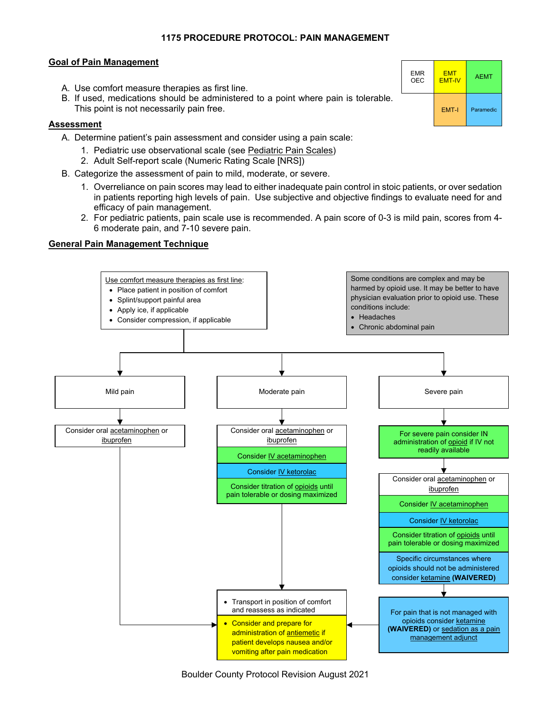## **1175 PROCEDURE PROTOCOL: PAIN MANAGEMENT**

## **Goal of Pain Management**

- A. Use comfort measure therapies as first line.
- B. If used, medications should be administered to a point where pain is tolerable. This point is not necessarily pain free.

## **Assessment**

- A. Determine patient's pain assessment and consider using a pain scale:
	- 1. Pediatric use observational scale (see Pediatric Pain Scales)
	- 2. Adult Self-report scale (Numeric Rating Scale [NRS])
- B. Categorize the assessment of pain to mild, moderate, or severe.
	- 1. Overreliance on pain scores may lead to either inadequate pain control in stoic patients, or over sedation in patients reporting high levels of pain. Use subjective and objective findings to evaluate need for and efficacy of pain management.
	- 2. For pediatric patients, pain scale use is recommended. A pain score of 0-3 is mild pain, scores from 4- 6 moderate pain, and 7-10 severe pain.

# **General Pain Management Technique**



|  | <b>Boulder County Protocol Revision August 2021</b> |  |
|--|-----------------------------------------------------|--|
|  |                                                     |  |

| <b>EMR</b> | <b>EMT</b>    |           |
|------------|---------------|-----------|
| OEC        | <b>EMT-IV</b> |           |
|            | <b>EMT-I</b>  | Paramedic |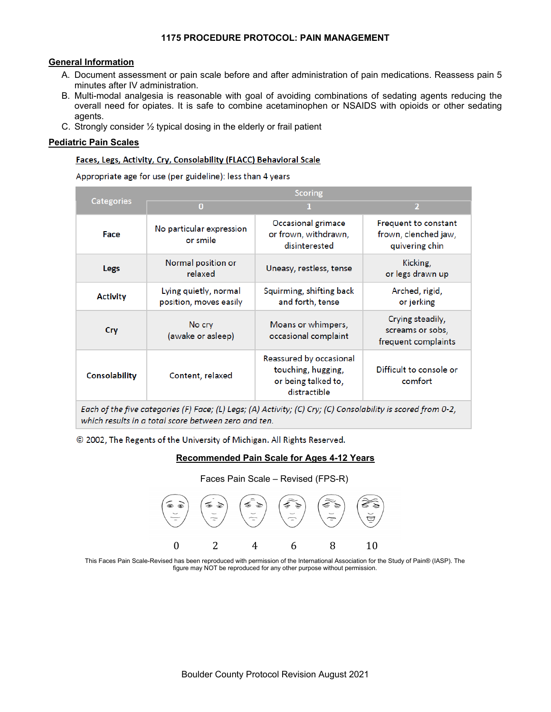## **1175 PROCEDURE PROTOCOL: PAIN MANAGEMENT**

## **General Information**

- A. Document assessment or pain scale before and after administration of pain medications. Reassess pain 5 minutes after IV administration.
- B. Multi-modal analgesia is reasonable with goal of avoiding combinations of sedating agents reducing the overall need for opiates. It is safe to combine acetaminophen or NSAIDS with opioids or other sedating agents.
- C. Strongly consider ½ typical dosing in the elderly or frail patient

## **Pediatric Pain Scales**

## Faces, Legs, Activity, Cry, Consolability (FLACC) Behavioral Scale

Appropriate age for use (per guideline): less than 4 years

|                 | <b>Scoring</b>                                  |                                                                                      |                                                                |  |  |  |
|-----------------|-------------------------------------------------|--------------------------------------------------------------------------------------|----------------------------------------------------------------|--|--|--|
| Categories      | $\bf{0}$                                        |                                                                                      | $\overline{2}$                                                 |  |  |  |
| Face            | No particular expression<br>or smile            | Occasional grimace<br>or frown, withdrawn,<br>disinterested                          | Frequent to constant<br>frown, clenched jaw,<br>quivering chin |  |  |  |
| <b>Legs</b>     | Normal position or<br>relaxed                   | Uneasy, restless, tense                                                              | Kicking,<br>or legs drawn up                                   |  |  |  |
| <b>Activity</b> | Lying quietly, normal<br>position, moves easily | Squirming, shifting back<br>and forth, tense                                         | Arched, rigid,<br>or jerking                                   |  |  |  |
| Cry             | No cry<br>(awake or asleep)                     | Moans or whimpers,<br>occasional complaint                                           | Crying steadily,<br>screams or sobs,<br>frequent complaints    |  |  |  |
| Consolability   | Content, relaxed                                | Reassured by occasional<br>touching, hugging,<br>or being talked to,<br>distractible | Difficult to console or<br>comfort                             |  |  |  |
|                 |                                                 |                                                                                      |                                                                |  |  |  |

Each of the five categories (F) Face; (L) Legs; (A) Activity; (C) Cry; (C) Consolability is scored from 0-2, which results in a total score between zero and ten.

© 2002, The Regents of the University of Michigan. All Rights Reserved.

# **Recommended Pain Scale for Ages 4-12 Years**



This Faces Pain Scale-Revised has been reproduced with permission of the International Association for the Study of Pain® (IASP). The figure may NOT be reproduced for any other purpose without permission.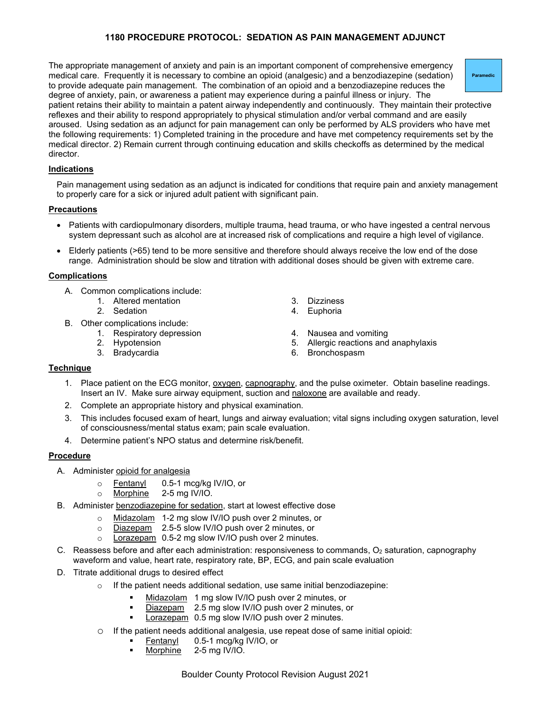# **1180 PROCEDURE PROTOCOL: SEDATION AS PAIN MANAGEMENT ADJUNCT**

The appropriate management of anxiety and pain is an important component of comprehensive emergency medical care. Frequently it is necessary to combine an opioid (analgesic) and a benzodiazepine (sedation) to provide adequate pain management. The combination of an opioid and a benzodiazepine reduces the degree of anxiety, pain, or awareness a patient may experience during a painful illness or injury. The patient retains their ability to maintain a patent airway independently and continuously. They maintain their protective reflexes and their ability to respond appropriately to physical stimulation and/or verbal command and are easily aroused. Using sedation as an adjunct for pain management can only be performed by ALS providers who have met the following requirements: 1) Completed training in the procedure and have met competency requirements set by the medical director. 2) Remain current through continuing education and skills checkoffs as determined by the medical

### **Indications**

director.

Pain management using sedation as an adjunct is indicated for conditions that require pain and anxiety management to properly care for a sick or injured adult patient with significant pain.

### **Precautions**

- Patients with cardiopulmonary disorders, multiple trauma, head trauma, or who have ingested a central nervous system depressant such as alcohol are at increased risk of complications and require a high level of vigilance.
- Elderly patients (>65) tend to be more sensitive and therefore should always receive the low end of the dose range. Administration should be slow and titration with additional doses should be given with extreme care.

### **Complications**

- A. Common complications include:
	- 1. Altered mentation
		- 2. Sedation
- B. Other complications include:
	- 1. Respiratory depression
		- 2. Hypotension
		- 3. Bradycardia
- 3. Dizziness
- 4. Euphoria
- 4. Nausea and vomiting
- 5. Allergic reactions and anaphylaxis
- 6. Bronchospasm

#### **Technique**

- 1. Place patient on the ECG monitor, oxygen, capnography, and the pulse oximeter. Obtain baseline readings. Insert an IV. Make sure airway equipment, suction and naloxone are available and ready.
- 2. Complete an appropriate history and physical examination.
- 3. This includes focused exam of heart, lungs and airway evaluation; vital signs including oxygen saturation, level of consciousness/mental status exam; pain scale evaluation.
- 4. Determine patient's NPO status and determine risk/benefit.

#### **Procedure**

- A. Administer opioid for analgesia
	- o <u>Fentanyl</u> 0.5-1 mcg/kg IV/IO, or →<br>○ Morphine 2-5 mg IV/IO.
	- o Morphine 2-5 mg IV/IO.
- B. Administer benzodiazepine for sedation, start at lowest effective dose
	- o Midazolam 1-2 mg slow IV/IO push over 2 minutes, or
	- o Diazepam 2.5-5 slow IV/IO push over 2 minutes, or
	- o Lorazepam 0.5-2 mg slow IV/IO push over 2 minutes.
- C. Reassess before and after each administration: responsiveness to commands,  $O_2$  saturation, capnography waveform and value, heart rate, respiratory rate, BP, ECG, and pain scale evaluation
- D. Titrate additional drugs to desired effect
	- $\circ$  If the patient needs additional sedation, use same initial benzodiazepine:
		- Midazolam 1 mg slow IV/IO push over 2 minutes, or
		- Diazepam 2.5 mg slow IV/IO push over 2 minutes, or
		- Lorazepam 0.5 mg slow IV/IO push over 2 minutes.
	- o If the patient needs additional analgesia, use repeat dose of same initial opioid:<br>Fentanyl 0.5-1 mcg/kg IV/IO, or
		- 0.5-1 mcg/kg IV/IO, or
		- Morphine 2-5 mg IV/IO.